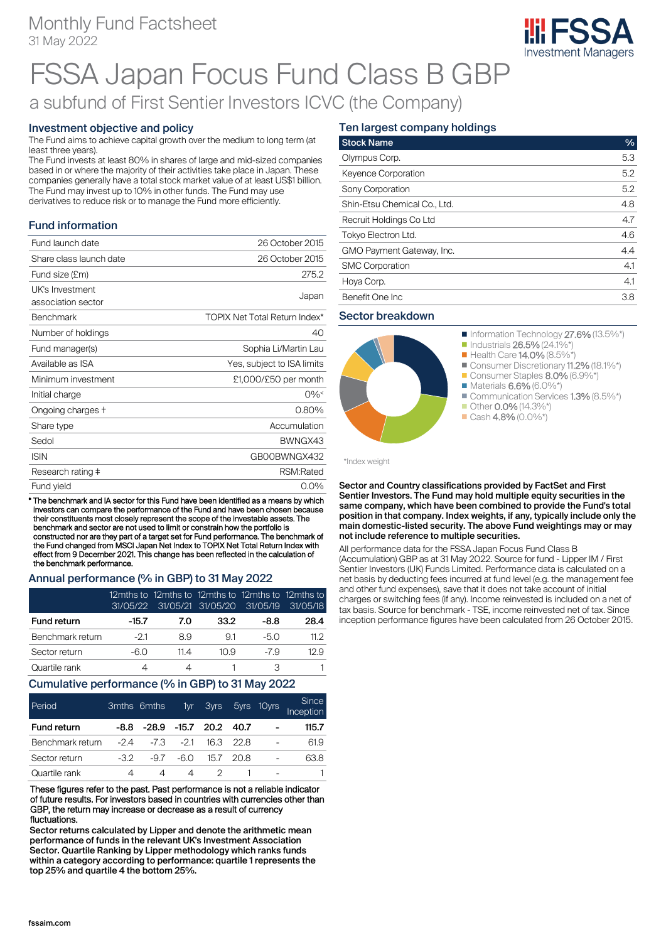### Monthly Fund Factsheet 31 May 2022



# FSSA Japan Focus Fund Class B GBP

## a subfund of First Sentier Investors ICVC (the Company)

#### Investment objective and policy

The Fund aims to achieve capital growth over the medium to long term (at least three years).

The Fund invests at least 80% in shares of large and mid-sized companies based in or where the majority of their activities take place in Japan. These companies generally have a total stock market value of at least US\$1 billion. The Fund may invest up to 10% in other funds. The Fund may use derivatives to reduce risk or to manage the Fund more efficiently.

### Fund information

| Fund launch date        | 26 October 2015                      |
|-------------------------|--------------------------------------|
| Share class launch date | 26 October 2015                      |
| Fund size (£m)          | 275.2                                |
| UK's Investment         |                                      |
| association sector      | Japan                                |
| <b>Benchmark</b>        | <b>TOPIX Net Total Return Index*</b> |
| Number of holdings      | 40                                   |
| Fund manager(s)         | Sophia Li/Martin Lau                 |
| Available as ISA        | Yes, subject to ISA limits           |
| Minimum investment      | £1,000/£50 per month                 |
| Initial charge          | $0\%$                                |
| Ongoing charges +       | 0.80%                                |
| Share type              | Accumulation                         |
| Sedol                   | BWNGX43                              |
| <b>ISIN</b>             | GB00BWNGX432                         |
| Research rating ‡       | RSM:Rated                            |
| Fund yield              | $0.0\%$                              |

\* The benchmark and IA sector for this Fund have been identified as a means by which investors can compare the performance of the Fund and have been chosen because their constituents most closely represent the scope of the investable assets. The benchmark and sector are not used to limit or constrain how the portfolio is constructed nor are they part of a target set for Fund performance. The benchmark of the Fund changed from MSCI Japan Net Index to TOPIX Net Total Return Index with effect from 9 December 2021. This change has been reflected in the calculation of the benchmark performance.

#### Annual performance (% in GBP) to 31 May 2022

|                    | 31/05/22 | 12mths to 12mths to 12mths to 12mths to 12mths to | 31/05/21 31/05/20 | 31/05/19 | 31/05/18 |
|--------------------|----------|---------------------------------------------------|-------------------|----------|----------|
| <b>Fund return</b> | -15.7    | 7.0                                               | 33.2              | -8.8     | 28.4     |
| Benchmark return   | -21      | 89                                                | 91                | -50      | 11 2     |
| Sector return      | -60      | 11 4                                              | 10.9              | $-79$    | 12 Q     |
| Quartile rank      |          |                                                   |                   |          |          |

#### Cumulative performance (% in GBP) to 31 May 2022

| Period             |       | 3mths 6mths | 1yr l  |      | 3yrs 5yrs | 10yrs                    | <b>Since</b><br>Inception |
|--------------------|-------|-------------|--------|------|-----------|--------------------------|---------------------------|
| <b>Fund return</b> | -8.8  | $-28.9$     | -15.7  | 20.2 | 40.7      | $\overline{\phantom{0}}$ | 115.7                     |
| Benchmark return   | $-24$ | -73         | $-2.1$ | 16.3 | - 22 B    |                          | 61.9                      |
| Sector return      | -32   | -97         | -6.0   | 15.7 | 20 B      | -                        | 63.8                      |
| Quartile rank      |       |             | 4      |      |           |                          |                           |

These figures refer to the past. Past performance is not a reliable indicator of future results. For investors based in countries with currencies other than GBP, the return may increase or decrease as a result of currency fluctuations.

Sector returns calculated by Lipper and denote the arithmetic mean performance of funds in the relevant UK's Investment Association Sector. Quartile Ranking by Lipper methodology which ranks funds within a category according to performance: quartile 1 represents the top 25% and quartile 4 the bottom 25%.

### Ten largest company holdings

| <b>Stock Name</b>            | $\frac{9}{6}$ |
|------------------------------|---------------|
| Olympus Corp.                | 5.3           |
| <b>Keyence Corporation</b>   | 5.2           |
| Sony Corporation             | 5.2           |
| Shin-Etsu Chemical Co., Ltd. | 4.8           |
| Recruit Holdings Co Ltd      | 4.7           |
| Tokyo Electron Ltd.          | 4.6           |
| GMO Payment Gateway, Inc.    | 4.4           |
| <b>SMC Corporation</b>       | 4.1           |
| Hoya Corp.                   | 4.1           |
| Benefit One Inc.             | 3.8           |

#### Sector breakdown



\*Index weight

Sector and Country classifications provided by FactSet and First Sentier Investors. The Fund may hold multiple equity securities in the same company, which have been combined to provide the Fund's total position in that company. Index weights, if any, typically include only the main domestic-listed security. The above Fund weightings may or may not include reference to multiple securities.

All performance data for the FSSA Japan Focus Fund Class B (Accumulation) GBP as at 31 May 2022. Source for fund - Lipper IM / First Sentier Investors (UK) Funds Limited. Performance data is calculated on a net basis by deducting fees incurred at fund level (e.g. the management fee and other fund expenses), save that it does not take account of initial charges or switching fees (if any). Income reinvested is included on a net of tax basis. Source for benchmark - TSE, income reinvested net of tax. Since inception performance figures have been calculated from 26 October 2015.